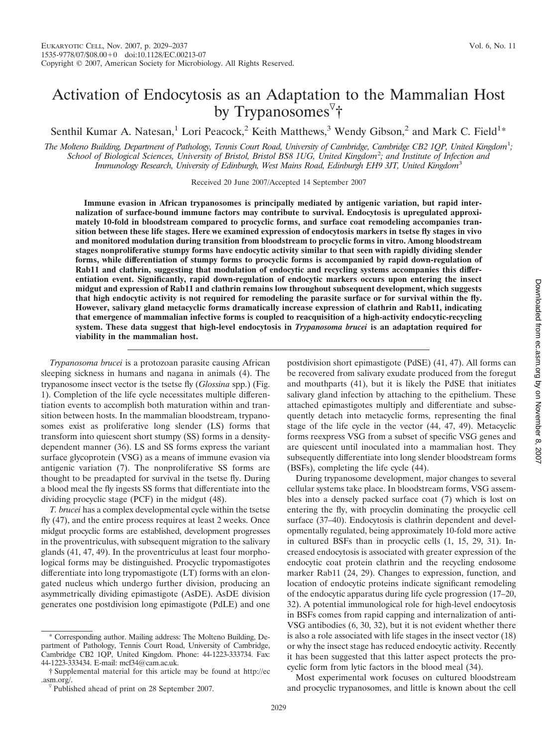# Activation of Endocytosis as an Adaptation to the Mammalian Host by Trypanosomes<sup>7</sup>†

Senthil Kumar A. Natesan,<sup>1</sup> Lori Peacock,<sup>2</sup> Keith Matthews,<sup>3</sup> Wendy Gibson,<sup>2</sup> and Mark C. Field<sup>1\*</sup>

*The Molteno Building, Department of Pathology, Tennis Court Road, University of Cambridge, Cambridge CB2 1QP, United Kingdom*<sup>1</sup> *; School of Biological Sciences, University of Bristol, Bristol BS8 1UG, United Kingdom*<sup>2</sup> *; and Institute of Infection and Immunology Research, University of Edinburgh, West Mains Road, Edinburgh EH9 3JT, United Kingdom*<sup>3</sup>

Received 20 June 2007/Accepted 14 September 2007

**Immune evasion in African trypanosomes is principally mediated by antigenic variation, but rapid internalization of surface-bound immune factors may contribute to survival. Endocytosis is upregulated approximately 10-fold in bloodstream compared to procyclic forms, and surface coat remodeling accompanies transition between these life stages. Here we examined expression of endocytosis markers in tsetse fly stages in vivo and monitored modulation during transition from bloodstream to procyclic forms in vitro. Among bloodstream stages nonproliferative stumpy forms have endocytic activity similar to that seen with rapidly dividing slender forms, while differentiation of stumpy forms to procyclic forms is accompanied by rapid down-regulation of Rab11 and clathrin, suggesting that modulation of endocytic and recycling systems accompanies this differentiation event. Significantly, rapid down-regulation of endocytic markers occurs upon entering the insect midgut and expression of Rab11 and clathrin remains low throughout subsequent development, which suggests that high endocytic activity is not required for remodeling the parasite surface or for survival within the fly. However, salivary gland metacyclic forms dramatically increase expression of clathrin and Rab11, indicating that emergence of mammalian infective forms is coupled to reacquisition of a high-activity endocytic-recycling system. These data suggest that high-level endocytosis in** *Trypanosoma brucei* **is an adaptation required for viability in the mammalian host.**

*Trypanosoma brucei* is a protozoan parasite causing African sleeping sickness in humans and nagana in animals (4). The trypanosome insect vector is the tsetse fly (*Glossina* spp.) (Fig. 1). Completion of the life cycle necessitates multiple differentiation events to accomplish both maturation within and transition between hosts. In the mammalian bloodstream, trypanosomes exist as proliferative long slender (LS) forms that transform into quiescent short stumpy (SS) forms in a densitydependent manner (36). LS and SS forms express the variant surface glycoprotein (VSG) as a means of immune evasion via antigenic variation (7). The nonproliferative SS forms are thought to be preadapted for survival in the tsetse fly. During a blood meal the fly ingests SS forms that differentiate into the dividing procyclic stage (PCF) in the midgut (48).

*T. brucei* has a complex developmental cycle within the tsetse fly (47), and the entire process requires at least 2 weeks. Once midgut procyclic forms are established, development progresses in the proventriculus, with subsequent migration to the salivary glands (41, 47, 49). In the proventriculus at least four morphological forms may be distinguished. Procyclic trypomastigotes differentiate into long trypomastigote (LT) forms with an elongated nucleus which undergo further division, producing an asymmetrically dividing epimastigote (AsDE). AsDE division generates one postdivision long epimastigote (PdLE) and one

postdivision short epimastigote (PdSE) (41, 47). All forms can be recovered from salivary exudate produced from the foregut and mouthparts (41), but it is likely the PdSE that initiates salivary gland infection by attaching to the epithelium. These attached epimastigotes multiply and differentiate and subsequently detach into metacyclic forms, representing the final stage of the life cycle in the vector (44, 47, 49). Metacyclic forms reexpress VSG from a subset of specific VSG genes and are quiescent until inoculated into a mammalian host. They subsequently differentiate into long slender bloodstream forms (BSFs), completing the life cycle (44).

During trypanosome development, major changes to several cellular systems take place. In bloodstream forms, VSG assembles into a densely packed surface coat (7) which is lost on entering the fly, with procyclin dominating the procyclic cell surface (37–40). Endocytosis is clathrin dependent and developmentally regulated, being approximately 10-fold more active in cultured BSFs than in procyclic cells (1, 15, 29, 31). Increased endocytosis is associated with greater expression of the endocytic coat protein clathrin and the recycling endosome marker Rab11 (24, 29). Changes to expression, function, and location of endocytic proteins indicate significant remodeling of the endocytic apparatus during life cycle progression (17–20, 32). A potential immunological role for high-level endocytosis in BSFs comes from rapid capping and internalization of anti-VSG antibodies (6, 30, 32), but it is not evident whether there is also a role associated with life stages in the insect vector (18) or why the insect stage has reduced endocytic activity. Recently it has been suggested that this latter aspect protects the procyclic form from lytic factors in the blood meal (34).

Most experimental work focuses on cultured bloodstream and procyclic trypanosomes, and little is known about the cell

<sup>\*</sup> Corresponding author. Mailing address: The Molteno Building, Department of Pathology, Tennis Court Road, University of Cambridge, Cambridge CB2 1QP, United Kingdom. Phone: 44-1223-333734. Fax: 44-1223-333434. E-mail: mcf34@cam.ac.uk.

<sup>†</sup> Supplemental material for this article may be found at http://ec .asm.org/.  $\nabla$ Published ahead of print on 28 September 2007.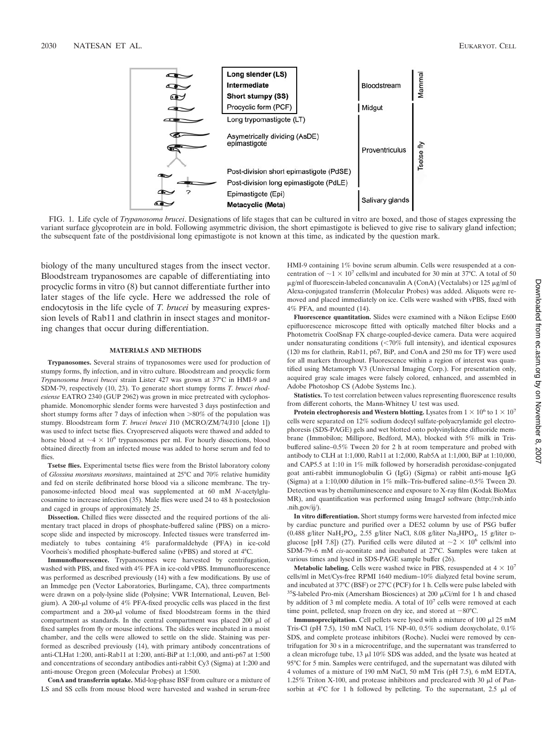



FIG. 1. Life cycle of *Trypanosoma brucei*. Designations of life stages that can be cultured in vitro are boxed, and those of stages expressing the variant surface glycoprotein are in bold. Following asymmetric division, the short epimastigote is believed to give rise to salivary gland infection; the subsequent fate of the postdivisional long epimastigote is not known at this time, as indicated by the question mark.

biology of the many uncultured stages from the insect vector. Bloodstream trypanosomes are capable of differentiating into procyclic forms in vitro (8) but cannot differentiate further into later stages of the life cycle. Here we addressed the role of endocytosis in the life cycle of *T. brucei* by measuring expression levels of Rab11 and clathrin in insect stages and monitoring changes that occur during differentiation.

#### **MATERIALS AND METHODS**

**Trypanosomes.** Several strains of trypanosomes were used for production of stumpy forms, fly infection, and in vitro culture. Bloodstream and procyclic form *Trypanosoma brucei brucei* strain Lister 427 was grown at 37°C in HMI-9 and SDM-79, respectively (10, 23). To generate short stumpy forms *T. brucei rhodesiense* EATRO 2340 (GUP 2962) was grown in mice pretreated with cyclophosphamide. Monomorphic slender forms were harvested 3 days postinfection and short stumpy forms after 7 days of infection when  $>80\%$  of the population was stumpy. Bloodstream form *T. brucei brucei* J10 (MCRO/ZM/74/J10 [clone 1]) was used to infect tsetse flies. Cryopreserved aliquots were thawed and added to horse blood at  $\sim$  4  $\times$  10<sup>6</sup> trypanosomes per ml. For hourly dissections, blood obtained directly from an infected mouse was added to horse serum and fed to flies.

**Tsetse flies.** Experimental tsetse flies were from the Bristol laboratory colony of *Glossina morsitans morsitans*, maintained at 25°C and 70% relative humidity and fed on sterile defibrinated horse blood via a silicone membrane. The trypanosome-infected blood meal was supplemented at 60 mM *N*-acetylglucosamine to increase infection (35). Male flies were used 24 to 48 h posteclosion and caged in groups of approximately 25.

**Dissection.** Chilled flies were dissected and the required portions of the alimentary tract placed in drops of phosphate-buffered saline (PBS) on a microscope slide and inspected by microscopy. Infected tissues were transferred immediately to tubes containing 4% paraformaldehyde (PFA) in ice-cold Voorheis's modified phosphate-buffered saline (vPBS) and stored at 4°C.

**Immunofluorescence.** Trypanosomes were harvested by centrifugation, washed with PBS, and fixed with 4% PFA in ice-cold vPBS. Immunofluorescence was performed as described previously (14) with a few modifications. By use of an Immedge pen (Vector Laboratories, Burlingame, CA), three compartments were drawn on a poly-lysine slide (Polysine; VWR International, Leuven, Belgium). A 200- $\mu$ l volume of 4% PFA-fixed procyclic cells was placed in the first compartment and a 200-µl volume of fixed bloodstream forms in the third compartment as standards. In the central compartment was placed  $200 \mu l$  of fixed samples from fly or mouse infections. The slides were incubated in a moist chamber, and the cells were allowed to settle on the slide. Staining was performed as described previously (14), with primary antibody concentrations of anti-CLHat 1:200, anti-Rab11 at 1:200, anti-BiP at 1:1,000, and anti-p67 at 1:500 and concentrations of secondary antibodies anti-rabbit Cy3 (Sigma) at 1:200 and anti-mouse Oregon green (Molecular Probes) at 1:500.

**ConA and transferrin uptake.** Mid-log-phase BSF from culture or a mixture of LS and SS cells from mouse blood were harvested and washed in serum-free

HMI-9 containing 1% bovine serum albumin. Cells were resuspended at a concentration of  $\sim$ 1  $\times$  10<sup>7</sup> cells/ml and incubated for 30 min at 37°C. A total of 50  $\mu$ g/ml of fluorescein-labeled concanavalin A (ConA) (Vectalabs) or 125  $\mu$ g/ml of Alexa-conjugated transferrin (Molecular Probes) was added. Aliquots were removed and placed immediately on ice. Cells were washed with vPBS, fixed with 4% PFA, and mounted (14).

**Fluorescence quantitation.** Slides were examined with a Nikon Eclipse E600 epifluorescence microscope fitted with optically matched filter blocks and a Photometrix CoolSnap FX charge-coupled-device camera. Data were acquired under nonsaturating conditions (<70% full intensity), and identical exposures (120 ms for clathrin, Rab11, p67, BiP, and ConA and 250 ms for TF) were used for all markers throughout. Fluorescence within a region of interest was quantified using Metamorph V3 (Universal Imaging Corp.). For presentation only, acquired gray scale images were falsely colored, enhanced, and assembled in Adobe Photoshop CS (Adobe Systems Inc.).

**Statistics.** To test correlation between values representing fluorescence results from different cohorts, the Mann-Whitney U test was used.

**Protein electrophoresis and Western blotting.** Lysates from  $1 \times 10^6$  to  $1 \times 10^7$ cells were separated on 12% sodium dodecyl sulfate-polyacrylamide gel electrophoresis (SDS-PAGE) gels and wet blotted onto polyvinylidene difluoride membrane (Immobilon; Millipore, Bedford, MA), blocked with 5% milk in Trisbuffered saline–0.5% Tween 20 for 2 h at room temperature and probed with antibody to CLH at 1:1,000, Rab11 at 1:2,000, Rab5A at 1:1,000, BiP at 1:10,000, and CAP5.5 at 1:10 in 1% milk followed by horseradish peroxidase-conjugated goat anti-rabbit immunoglobulin G (IgG) (Sigma) or rabbit anti-mouse IgG (Sigma) at a 1:10,000 dilution in 1% milk–Tris-buffered saline–0.5% Tween 20. Detection was by chemiluminescence and exposure to X-ray film (Kodak BioMax MR), and quantification was performed using ImageJ software (http://rsb.info .nih.gov/ij/).

**In vitro differentiation.** Short stumpy forms were harvested from infected mice by cardiac puncture and purified over a DE52 column by use of PSG buffer (0.488 g/liter NaH<sub>2</sub>PO<sub>4</sub>, 2.55 g/liter NaCl, 8.08 g/liter Na<sub>2</sub>HPO<sub>4</sub>, 15 g/liter Dglucose [pH 7.8]) (27). Purified cells were diluted at  $\sim$  2  $\times$  10<sup>6</sup> cells/ml into SDM-79–6 mM *cis*-aconitate and incubated at 27°C. Samples were taken at various times and lysed in SDS-PAGE sample buffer (26).

**Metabolic labeling.** Cells were washed twice in PBS, resuspended at  $4 \times 10^7$ cells/ml in Met/Cys-free RPMI 1640 medium–10% dialyzed fetal bovine serum, and incubated at 37°C (BSF) or 27°C (PCF) for 1 h. Cells were pulse labeled with <sup>35</sup>S-labeled Pro-mix (Amersham Biosciences) at 200  $\mu$ Ci/ml for 1 h and chased by addition of 3 ml complete media. A total of  $10<sup>7</sup>$  cells were removed at each time point, pelleted, snap frozen on dry ice, and stored at  $-80^{\circ}$ C.

**Immunoprecipitation.** Cell pellets were lysed with a mixture of  $100 \mu$ l 25 mM Tris-Cl (pH 7.5), 150 mM NaCl, 1% NP-40, 0.5% sodium deoxycholate, 0.1% SDS, and complete protease inhibitors (Roche). Nuclei were removed by centrifugation for 30 s in a microcentrifuge, and the supernatant was transferred to a clean microfuge tube, 13  $\mu$ l 10% SDS was added, and the lysate was heated at 95°C for 5 min. Samples were centrifuged, and the supernatant was diluted with 4 volumes of a mixture of 190 mM NaCl, 50 mM Tris (pH 7.5), 6 mM EDTA, 1.25% Triton X-100, and protease inhibitors and precleared with 30  $\mu$ l of Pansorbin at  $4^{\circ}$ C for 1 h followed by pelleting. To the supernatant, 2.5  $\mu$ l of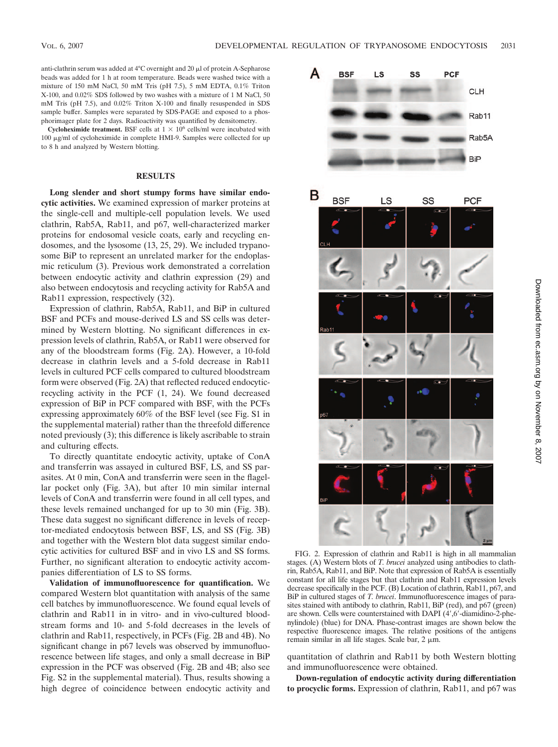anti-clathrin serum was added at  $4^{\circ}$ C overnight and  $20 \mu$ l of protein A-Sepharose beads was added for 1 h at room temperature. Beads were washed twice with a mixture of 150 mM NaCl, 50 mM Tris (pH 7.5), 5 mM EDTA, 0.1% Triton X-100, and 0.02% SDS followed by two washes with a mixture of 1 M NaCl, 50 mM Tris (pH 7.5), and 0.02% Triton X-100 and finally resuspended in SDS sample buffer. Samples were separated by SDS-PAGE and exposed to a phosphorimager plate for 2 days. Radioactivity was quantified by densitometry.

**Cycloheximide treatment.** BSF cells at  $1 \times 10^6$  cells/ml were incubated with 100 µg/ml of cycloheximide in complete HMI-9. Samples were collected for up to 8 h and analyzed by Western blotting.

# **RESULTS**

**Long slender and short stumpy forms have similar endocytic activities.** We examined expression of marker proteins at the single-cell and multiple-cell population levels. We used clathrin, Rab5A, Rab11, and p67, well-characterized marker proteins for endosomal vesicle coats, early and recycling endosomes, and the lysosome (13, 25, 29). We included trypanosome BiP to represent an unrelated marker for the endoplasmic reticulum (3). Previous work demonstrated a correlation between endocytic activity and clathrin expression (29) and also between endocytosis and recycling activity for Rab5A and Rab11 expression, respectively (32).

Expression of clathrin, Rab5A, Rab11, and BiP in cultured BSF and PCFs and mouse-derived LS and SS cells was determined by Western blotting. No significant differences in expression levels of clathrin, Rab5A, or Rab11 were observed for any of the bloodstream forms (Fig. 2A). However, a 10-fold decrease in clathrin levels and a 5-fold decrease in Rab11 levels in cultured PCF cells compared to cultured bloodstream form were observed (Fig. 2A) that reflected reduced endocyticrecycling activity in the PCF (1, 24). We found decreased expression of BiP in PCF compared with BSF, with the PCFs expressing approximately 60% of the BSF level (see Fig. S1 in the supplemental material) rather than the threefold difference noted previously (3); this difference is likely ascribable to strain and culturing effects.

To directly quantitate endocytic activity, uptake of ConA and transferrin was assayed in cultured BSF, LS, and SS parasites. At 0 min, ConA and transferrin were seen in the flagellar pocket only (Fig. 3A), but after 10 min similar internal levels of ConA and transferrin were found in all cell types, and these levels remained unchanged for up to 30 min (Fig. 3B). These data suggest no significant difference in levels of receptor-mediated endocytosis between BSF, LS, and SS (Fig. 3B) and together with the Western blot data suggest similar endocytic activities for cultured BSF and in vivo LS and SS forms. Further, no significant alteration to endocytic activity accompanies differentiation of LS to SS forms.

**Validation of immunofluorescence for quantification.** We compared Western blot quantitation with analysis of the same cell batches by immunofluorescence. We found equal levels of clathrin and Rab11 in in vitro- and in vivo-cultured bloodstream forms and 10- and 5-fold decreases in the levels of clathrin and Rab11, respectively, in PCFs (Fig. 2B and 4B). No significant change in p67 levels was observed by immunofluorescence between life stages, and only a small decrease in BiP expression in the PCF was observed (Fig. 2B and 4B; also see Fig. S2 in the supplemental material). Thus, results showing a high degree of coincidence between endocytic activity and



FIG. 2. Expression of clathrin and Rab11 is high in all mammalian stages. (A) Western blots of *T. brucei* analyzed using antibodies to clathrin, Rab5A, Rab11, and BiP. Note that expression of Rab5A is essentially constant for all life stages but that clathrin and Rab11 expression levels decrease specifically in the PCF. (B) Location of clathrin, Rab11, p67, and BiP in cultured stages of *T. brucei*. Immunofluorescence images of parasites stained with antibody to clathrin, Rab11, BiP (red), and p67 (green) are shown. Cells were counterstained with DAPI (4,6-diamidino-2-phenylindole) (blue) for DNA. Phase-contrast images are shown below the respective fluorescence images. The relative positions of the antigens remain similar in all life stages. Scale bar,  $2 \mu m$ .

quantitation of clathrin and Rab11 by both Western blotting and immunofluorescence were obtained.

**Down-regulation of endocytic activity during differentiation to procyclic forms.** Expression of clathrin, Rab11, and p67 was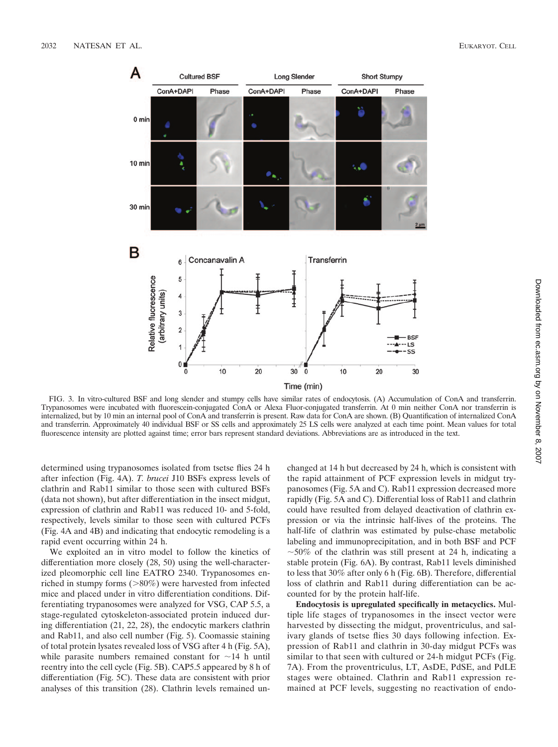

FIG. 3. In vitro-cultured BSF and long slender and stumpy cells have similar rates of endocytosis. (A) Accumulation of ConA and transferrin. Trypanosomes were incubated with fluorescein-conjugated ConA or Alexa Fluor-conjugated transferrin. At 0 min neither ConA nor transferrin is internalized, but by 10 min an internal pool of ConA and transferrin is present. Raw data for ConA are shown. (B) Quantification of internalized ConA and transferrin. Approximately 40 individual BSF or SS cells and approximately 25 LS cells were analyzed at each time point. Mean values for total fluorescence intensity are plotted against time; error bars represent standard deviations. Abbreviations are as introduced in the text.

determined using trypanosomes isolated from tsetse flies 24 h after infection (Fig. 4A). *T. brucei* J10 BSFs express levels of clathrin and Rab11 similar to those seen with cultured BSFs (data not shown), but after differentiation in the insect midgut, expression of clathrin and Rab11 was reduced 10- and 5-fold, respectively, levels similar to those seen with cultured PCFs (Fig. 4A and 4B) and indicating that endocytic remodeling is a rapid event occurring within 24 h.

We exploited an in vitro model to follow the kinetics of differentiation more closely (28, 50) using the well-characterized pleomorphic cell line EATRO 2340. Trypanosomes enriched in stumpy forms  $(>\!\!80\%)$  were harvested from infected mice and placed under in vitro differentiation conditions. Differentiating trypanosomes were analyzed for VSG, CAP 5.5, a stage-regulated cytoskeleton-associated protein induced during differentiation (21, 22, 28), the endocytic markers clathrin and Rab11, and also cell number (Fig. 5). Coomassie staining of total protein lysates revealed loss of VSG after 4 h (Fig. 5A), while parasite numbers remained constant for  $\sim$ 14 h until reentry into the cell cycle (Fig. 5B). CAP5.5 appeared by 8 h of differentiation (Fig. 5C). These data are consistent with prior analyses of this transition (28). Clathrin levels remained unchanged at 14 h but decreased by 24 h, which is consistent with the rapid attainment of PCF expression levels in midgut trypanosomes (Fig. 5A and C). Rab11 expression decreased more rapidly (Fig. 5A and C). Differential loss of Rab11 and clathrin could have resulted from delayed deactivation of clathrin expression or via the intrinsic half-lives of the proteins. The half-life of clathrin was estimated by pulse-chase metabolic labeling and immunoprecipitation, and in both BSF and PCF  $\sim$  50% of the clathrin was still present at 24 h, indicating a stable protein (Fig. 6A). By contrast, Rab11 levels diminished to less that 30% after only 6 h (Fig. 6B). Therefore, differential loss of clathrin and Rab11 during differentiation can be accounted for by the protein half-life.

**Endocytosis is upregulated specifically in metacyclics.** Multiple life stages of trypanosomes in the insect vector were harvested by dissecting the midgut, proventriculus, and salivary glands of tsetse flies 30 days following infection. Expression of Rab11 and clathrin in 30-day midgut PCFs was similar to that seen with cultured or 24-h midgut PCFs (Fig. 7A). From the proventriculus, LT, AsDE, PdSE, and PdLE stages were obtained. Clathrin and Rab11 expression remained at PCF levels, suggesting no reactivation of endo-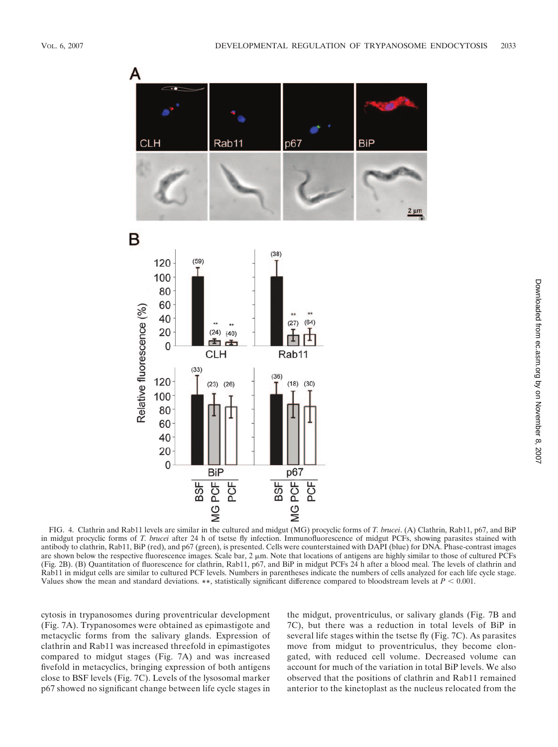

FIG. 4. Clathrin and Rab11 levels are similar in the cultured and midgut (MG) procyclic forms of *T. brucei*. (A) Clathrin, Rab11, p67, and BiP in midgut procyclic forms of *T. brucei* after 24 h of tsetse fly infection. Immunofluorescence of midgut PCFs, showing parasites stained with antibody to clathrin, Rab11, BiP (red), and p67 (green), is presented. Cells were counterstained with DAPI (blue) for DNA. Phase-contrast images are shown below the respective fluorescence images. Scale bar, 2  $\mu$ m. Note that locations of antigens are highly similar to those of cultured PCFs (Fig. 2B). (B) Quantitation of fluorescence for clathrin, Rab11, p67, and BiP in midgut PCFs 24 h after a blood meal. The levels of clathrin and Rab11 in midgut cells are similar to cultured PCF levels. Numbers in parentheses indicate the numbers of cells analyzed for each life cycle stage. Values show the mean and standard deviations. \*\*, statistically significant difference compared to bloodstream levels at  $P < 0.001$ .

cytosis in trypanosomes during proventricular development (Fig. 7A). Trypanosomes were obtained as epimastigote and metacyclic forms from the salivary glands. Expression of clathrin and Rab11 was increased threefold in epimastigotes compared to midgut stages (Fig. 7A) and was increased fivefold in metacyclics, bringing expression of both antigens close to BSF levels (Fig. 7C). Levels of the lysosomal marker p67 showed no significant change between life cycle stages in

the midgut, proventriculus, or salivary glands (Fig. 7B and 7C), but there was a reduction in total levels of BiP in several life stages within the tsetse fly (Fig. 7C). As parasites move from midgut to proventriculus, they become elongated, with reduced cell volume. Decreased volume can account for much of the variation in total BiP levels. We also observed that the positions of clathrin and Rab11 remained anterior to the kinetoplast as the nucleus relocated from the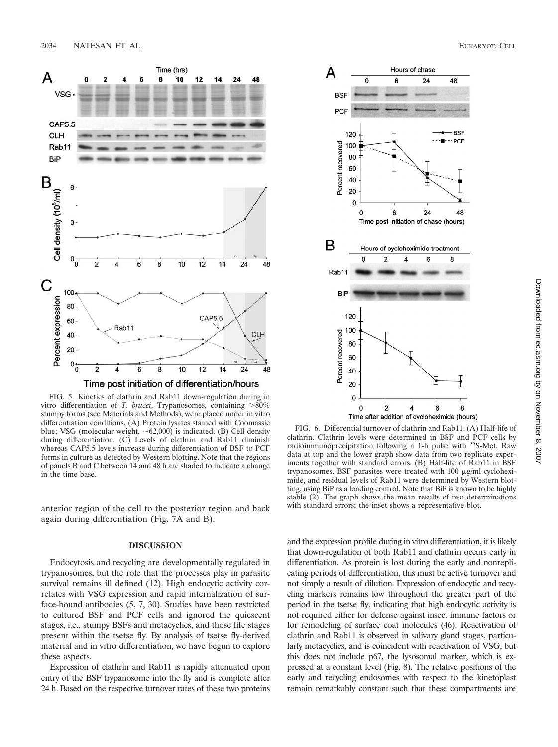

Time post initiation of differentiation/hours

FIG. 5. Kinetics of clathrin and Rab11 down-regulation during in vitro differentiation of *T. brucei*. Trypanosomes, containing >80% stumpy forms (see Materials and Methods), were placed under in vitro differentiation conditions. (A) Protein lysates stained with Coomassie blue; VSG (molecular weight,  $\sim 62,000$ ) is indicated. (B) Cell density during differentiation. (C) Levels of clathrin and Rab11 diminish whereas CAP5.5 levels increase during differentiation of BSF to PCF forms in culture as detected by Western blotting. Note that the regions of panels B and C between 14 and 48 h are shaded to indicate a change in the time base.

anterior region of the cell to the posterior region and back again during differentiation (Fig. 7A and B).

## **DISCUSSION**

Endocytosis and recycling are developmentally regulated in trypanosomes, but the role that the processes play in parasite survival remains ill defined (12). High endocytic activity correlates with VSG expression and rapid internalization of surface-bound antibodies (5, 7, 30). Studies have been restricted to cultured BSF and PCF cells and ignored the quiescent stages, i.e., stumpy BSFs and metacyclics, and those life stages present within the tsetse fly. By analysis of tsetse fly-derived material and in vitro differentiation, we have begun to explore these aspects.

Expression of clathrin and Rab11 is rapidly attenuated upon entry of the BSF trypanosome into the fly and is complete after 24 h. Based on the respective turnover rates of these two proteins



FIG. 6. Differential turnover of clathrin and Rab11. (A) Half-life of clathrin. Clathrin levels were determined in BSF and PCF cells by radioimmunoprecipitation following a 1-h pulse with 35S-Met. Raw data at top and the lower graph show data from two replicate experiments together with standard errors. (B) Half-life of Rab11 in BSF trypanosomes. BSF parasites were treated with 100  $\mu$ g/ml cycloheximide, and residual levels of Rab11 were determined by Western blotting, using BiP as a loading control. Note that BiP is known to be highly stable (2). The graph shows the mean results of two determinations with standard errors; the inset shows a representative blot.

and the expression profile during in vitro differentiation, it is likely that down-regulation of both Rab11 and clathrin occurs early in differentiation. As protein is lost during the early and nonreplicating periods of differentiation, this must be active turnover and not simply a result of dilution. Expression of endocytic and recycling markers remains low throughout the greater part of the period in the tsetse fly, indicating that high endocytic activity is not required either for defense against insect immune factors or for remodeling of surface coat molecules (46). Reactivation of clathrin and Rab11 is observed in salivary gland stages, particularly metacyclics, and is coincident with reactivation of VSG, but this does not include p67, the lysosomal marker, which is expressed at a constant level (Fig. 8). The relative positions of the early and recycling endosomes with respect to the kinetoplast remain remarkably constant such that these compartments are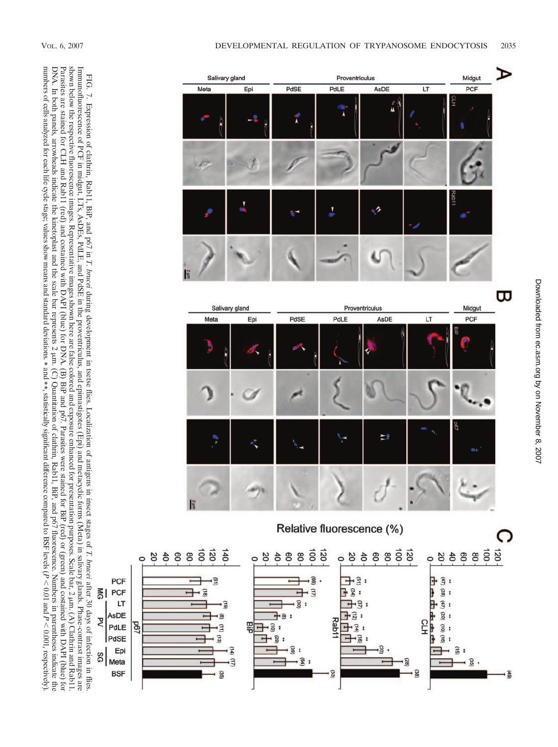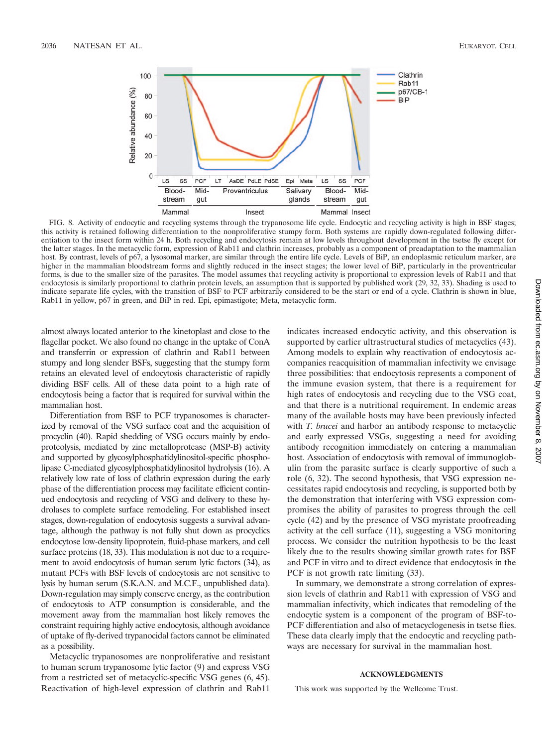

FIG. 8. Activity of endocytic and recycling systems through the trypanosome life cycle. Endocytic and recycling activity is high in BSF stages; this activity is retained following differentiation to the nonproliferative stumpy form. Both systems are rapidly down-regulated following differentiation to the insect form within 24 h. Both recycling and endocytosis remain at low levels throughout development in the tsetse fly except for the latter stages. In the metacyclic form, expression of Rab11 and clathrin increases, probably as a component of preadaptation to the mammalian host. By contrast, levels of p67, a lysosomal marker, are similar through the entire life cycle. Levels of BiP, an endoplasmic reticulum marker, are higher in the mammalian bloodstream forms and slightly reduced in the insect stages; the lower level of BiP, particularly in the proventricular forms, is due to the smaller size of the parasites. The model assumes that recycling activity is proportional to expression levels of Rab11 and that endocytosis is similarly proportional to clathrin protein levels, an assumption that is supported by published work (29, 32, 33). Shading is used to indicate separate life cycles, with the transition of BSF to PCF arbitrarily considered to be the start or end of a cycle. Clathrin is shown in blue, Rab11 in yellow, p67 in green, and BiP in red. Epi, epimastigote; Meta, metacyclic form.

almost always located anterior to the kinetoplast and close to the flagellar pocket. We also found no change in the uptake of ConA and transferrin or expression of clathrin and Rab11 between stumpy and long slender BSFs, suggesting that the stumpy form retains an elevated level of endocytosis characteristic of rapidly dividing BSF cells. All of these data point to a high rate of endocytosis being a factor that is required for survival within the mammalian host.

Differentiation from BSF to PCF trypanosomes is characterized by removal of the VSG surface coat and the acquisition of procyclin (40). Rapid shedding of VSG occurs mainly by endoproteolysis, mediated by zinc metalloprotease (MSP-B) activity and supported by glycosylphosphatidylinositol-specific phospholipase C-mediated glycosylphosphatidylinositol hydrolysis (16). A relatively low rate of loss of clathrin expression during the early phase of the differentiation process may facilitate efficient continued endocytosis and recycling of VSG and delivery to these hydrolases to complete surface remodeling. For established insect stages, down-regulation of endocytosis suggests a survival advantage, although the pathway is not fully shut down as procyclics endocytose low-density lipoprotein, fluid-phase markers, and cell surface proteins (18, 33). This modulation is not due to a requirement to avoid endocytosis of human serum lytic factors (34), as mutant PCFs with BSF levels of endocytosis are not sensitive to lysis by human serum (S.K.A.N. and M.C.F., unpublished data). Down-regulation may simply conserve energy, as the contribution of endocytosis to ATP consumption is considerable, and the movement away from the mammalian host likely removes the constraint requiring highly active endocytosis, although avoidance of uptake of fly-derived trypanocidal factors cannot be eliminated as a possibility.

Metacyclic trypanosomes are nonproliferative and resistant to human serum trypanosome lytic factor (9) and express VSG from a restricted set of metacyclic-specific VSG genes (6, 45). Reactivation of high-level expression of clathrin and Rab11

indicates increased endocytic activity, and this observation is supported by earlier ultrastructural studies of metacyclics (43). Among models to explain why reactivation of endocytosis accompanies reacquisition of mammalian infectivity we envisage three possibilities: that endocytosis represents a component of the immune evasion system, that there is a requirement for high rates of endocytosis and recycling due to the VSG coat, and that there is a nutritional requirement. In endemic areas many of the available hosts may have been previously infected with *T. brucei* and harbor an antibody response to metacyclic and early expressed VSGs, suggesting a need for avoiding antibody recognition immediately on entering a mammalian host. Association of endocytosis with removal of immunoglobulin from the parasite surface is clearly supportive of such a role (6, 32). The second hypothesis, that VSG expression necessitates rapid endocytosis and recycling, is supported both by the demonstration that interfering with VSG expression compromises the ability of parasites to progress through the cell cycle (42) and by the presence of VSG myristate proofreading activity at the cell surface (11), suggesting a VSG monitoring process. We consider the nutrition hypothesis to be the least likely due to the results showing similar growth rates for BSF and PCF in vitro and to direct evidence that endocytosis in the PCF is not growth rate limiting  $(33)$ .

In summary, we demonstrate a strong correlation of expression levels of clathrin and Rab11 with expression of VSG and mammalian infectivity, which indicates that remodeling of the endocytic system is a component of the program of BSF-to-PCF differentiation and also of metacyclogenesis in tsetse flies. These data clearly imply that the endocytic and recycling pathways are necessary for survival in the mammalian host.

### **ACKNOWLEDGMENTS**

This work was supported by the Wellcome Trust.